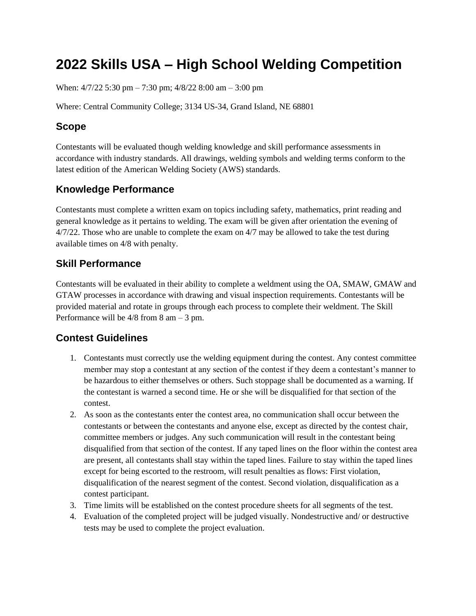# **2022 Skills USA – High School Welding Competition**

When:  $4/7/22$  5:30 pm – 7:30 pm;  $4/8/22$  8:00 am – 3:00 pm

Where: Central Community College; 3134 US-34, Grand Island, NE 68801

### **Scope**

Contestants will be evaluated though welding knowledge and skill performance assessments in accordance with industry standards. All drawings, welding symbols and welding terms conform to the latest edition of the American Welding Society (AWS) standards.

# **Knowledge Performance**

Contestants must complete a written exam on topics including safety, mathematics, print reading and general knowledge as it pertains to welding. The exam will be given after orientation the evening of 4/7/22. Those who are unable to complete the exam on 4/7 may be allowed to take the test during available times on 4/8 with penalty.

### **Skill Performance**

Contestants will be evaluated in their ability to complete a weldment using the OA, SMAW, GMAW and GTAW processes in accordance with drawing and visual inspection requirements. Contestants will be provided material and rotate in groups through each process to complete their weldment. The Skill Performance will be 4/8 from 8 am – 3 pm.

## **Contest Guidelines**

- 1. Contestants must correctly use the welding equipment during the contest. Any contest committee member may stop a contestant at any section of the contest if they deem a contestant's manner to be hazardous to either themselves or others. Such stoppage shall be documented as a warning. If the contestant is warned a second time. He or she will be disqualified for that section of the contest.
- 2. As soon as the contestants enter the contest area, no communication shall occur between the contestants or between the contestants and anyone else, except as directed by the contest chair, committee members or judges. Any such communication will result in the contestant being disqualified from that section of the contest. If any taped lines on the floor within the contest area are present, all contestants shall stay within the taped lines. Failure to stay within the taped lines except for being escorted to the restroom, will result penalties as flows: First violation, disqualification of the nearest segment of the contest. Second violation, disqualification as a contest participant.
- 3. Time limits will be established on the contest procedure sheets for all segments of the test.
- 4. Evaluation of the completed project will be judged visually. Nondestructive and/ or destructive tests may be used to complete the project evaluation.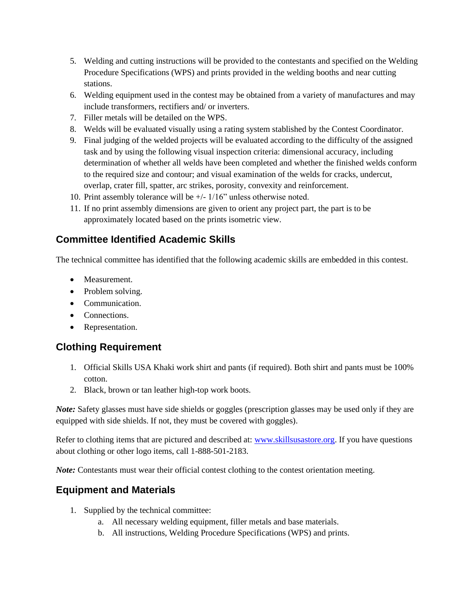- 5. Welding and cutting instructions will be provided to the contestants and specified on the Welding Procedure Specifications (WPS) and prints provided in the welding booths and near cutting stations.
- 6. Welding equipment used in the contest may be obtained from a variety of manufactures and may include transformers, rectifiers and/ or inverters.
- 7. Filler metals will be detailed on the WPS.
- 8. Welds will be evaluated visually using a rating system stablished by the Contest Coordinator.
- 9. Final judging of the welded projects will be evaluated according to the difficulty of the assigned task and by using the following visual inspection criteria: dimensional accuracy, including determination of whether all welds have been completed and whether the finished welds conform to the required size and contour; and visual examination of the welds for cracks, undercut, overlap, crater fill, spatter, arc strikes, porosity, convexity and reinforcement.
- 10. Print assembly tolerance will be +/- 1/16" unless otherwise noted.
- 11. If no print assembly dimensions are given to orient any project part, the part is to be approximately located based on the prints isometric view.

### **Committee Identified Academic Skills**

The technical committee has identified that the following academic skills are embedded in this contest.

- Measurement.
- Problem solving.
- Communication.
- Connections
- Representation.

#### **Clothing Requirement**

- 1. Official Skills USA Khaki work shirt and pants (if required). Both shirt and pants must be 100% cotton.
- 2. Black, brown or tan leather high-top work boots.

*Note:* Safety glasses must have side shields or goggles (prescription glasses may be used only if they are equipped with side shields. If not, they must be covered with goggles).

Refer to clothing items that are pictured and described at: [www.skillsusastore.org.](http://www.skillsusastore.org/) If you have questions about clothing or other logo items, call 1-888-501-2183.

*Note:* Contestants must wear their official contest clothing to the contest orientation meeting.

#### **Equipment and Materials**

- 1. Supplied by the technical committee:
	- a. All necessary welding equipment, filler metals and base materials.
	- b. All instructions, Welding Procedure Specifications (WPS) and prints.